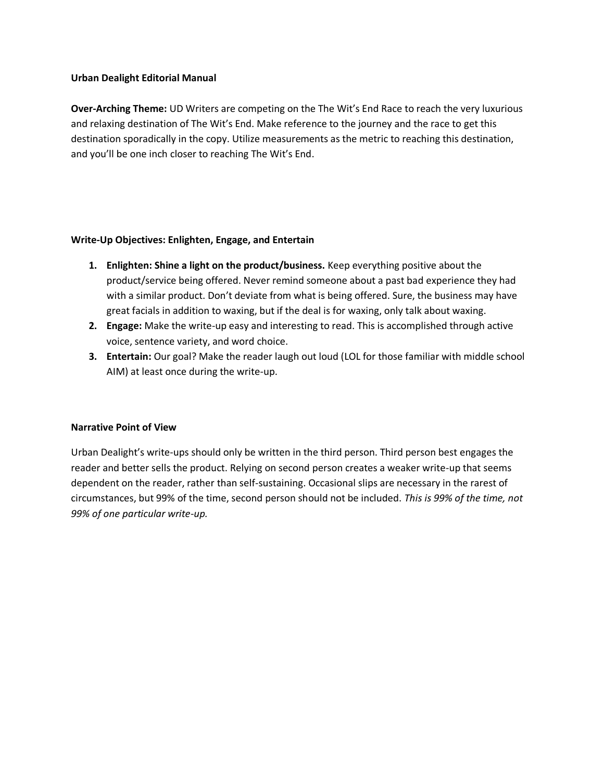## **Urban Dealight Editorial Manual**

**Over-Arching Theme:** UD Writers are competing on the The Wit's End Race to reach the very luxurious and relaxing destination of The Wit's End. Make reference to the journey and the race to get this destination sporadically in the copy. Utilize measurements as the metric to reaching this destination, and you'll be one inch closer to reaching The Wit's End.

## **Write-Up Objectives: Enlighten, Engage, and Entertain**

- **1. Enlighten: Shine a light on the product/business.** Keep everything positive about the product/service being offered. Never remind someone about a past bad experience they had with a similar product. Don't deviate from what is being offered. Sure, the business may have great facials in addition to waxing, but if the deal is for waxing, only talk about waxing.
- **2. Engage:** Make the write-up easy and interesting to read. This is accomplished through active voice, sentence variety, and word choice.
- **3. Entertain:** Our goal? Make the reader laugh out loud (LOL for those familiar with middle school AIM) at least once during the write-up.

## **Narrative Point of View**

Urban Dealight's write-ups should only be written in the third person. Third person best engages the reader and better sells the product. Relying on second person creates a weaker write-up that seems dependent on the reader, rather than self-sustaining. Occasional slips are necessary in the rarest of circumstances, but 99% of the time, second person should not be included. *This is 99% of the time, not 99% of one particular write-up.*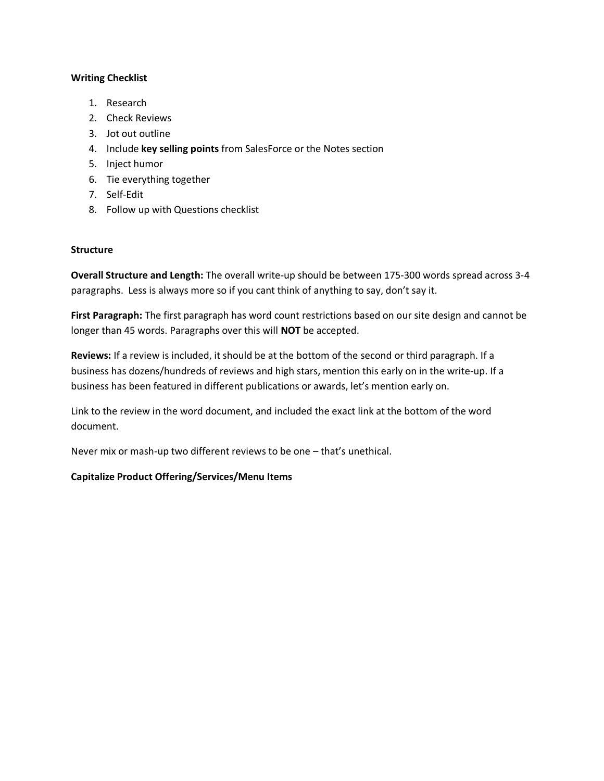# **Writing Checklist**

- 1. Research
- 2. Check Reviews
- 3. Jot out outline
- 4. Include **key selling points** from SalesForce or the Notes section
- 5. Inject humor
- 6. Tie everything together
- 7. Self-Edit
- 8. Follow up with Questions checklist

## **Structure**

**Overall Structure and Length:** The overall write-up should be between 175-300 words spread across 3-4 paragraphs. Less is always more so if you cant think of anything to say, don't say it.

**First Paragraph:** The first paragraph has word count restrictions based on our site design and cannot be longer than 45 words. Paragraphs over this will **NOT** be accepted.

**Reviews:** If a review is included, it should be at the bottom of the second or third paragraph. If a business has dozens/hundreds of reviews and high stars, mention this early on in the write-up. If a business has been featured in different publications or awards, let's mention early on.

Link to the review in the word document, and included the exact link at the bottom of the word document.

Never mix or mash-up two different reviews to be one – that's unethical.

# **Capitalize Product Offering/Services/Menu Items**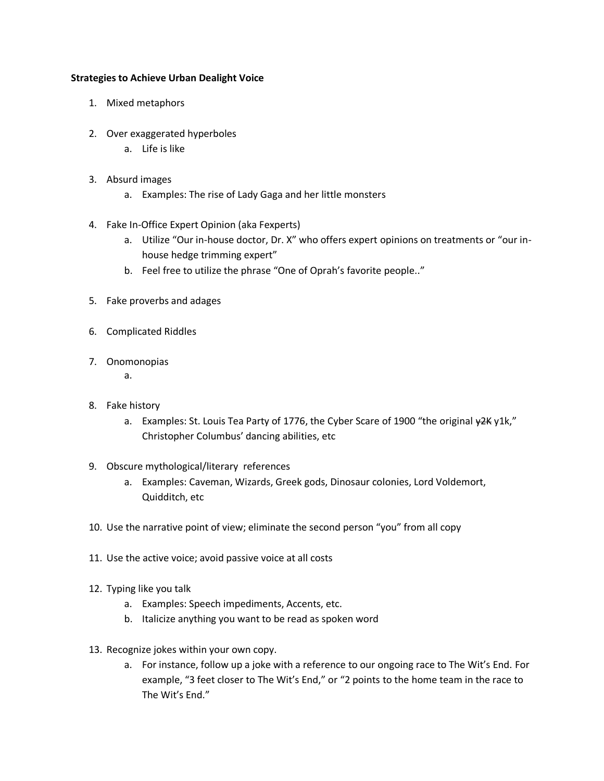# **Strategies to Achieve Urban Dealight Voice**

- 1. Mixed metaphors
- 2. Over exaggerated hyperboles
	- a. Life is like
- 3. Absurd images
	- a. Examples: The rise of Lady Gaga and her little monsters
- 4. Fake In-Office Expert Opinion (aka Fexperts)
	- a. Utilize "Our in-house doctor, Dr. X" who offers expert opinions on treatments or "our inhouse hedge trimming expert"
	- b. Feel free to utilize the phrase "One of Oprah's favorite people.."
- 5. Fake proverbs and adages
- 6. Complicated Riddles
- 7. Onomonopias
	- a.
- 8. Fake history
	- a. Examples: St. Louis Tea Party of 1776, the Cyber Scare of 1900 "the original  $\frac{42K}{16}$ ," Christopher Columbus' dancing abilities, etc
- 9. Obscure mythological/literary references
	- a. Examples: Caveman, Wizards, Greek gods, Dinosaur colonies, Lord Voldemort, Quidditch, etc
- 10. Use the narrative point of view; eliminate the second person "you" from all copy
- 11. Use the active voice; avoid passive voice at all costs
- 12. Typing like you talk
	- a. Examples: Speech impediments, Accents, etc.
	- b. Italicize anything you want to be read as spoken word
- 13. Recognize jokes within your own copy.
	- a. For instance, follow up a joke with a reference to our ongoing race to The Wit's End. For example, "3 feet closer to The Wit's End," or "2 points to the home team in the race to The Wit's End."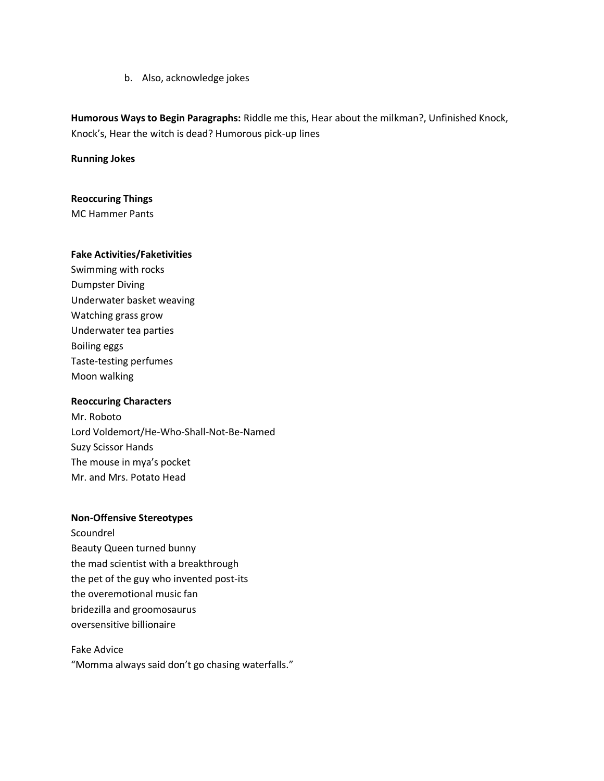b. Also, acknowledge jokes

**Humorous Ways to Begin Paragraphs:** Riddle me this, Hear about the milkman?, Unfinished Knock, Knock's, Hear the witch is dead? Humorous pick-up lines

**Running Jokes**

#### **Reoccuring Things**

MC Hammer Pants

#### **Fake Activities/Faketivities**

Swimming with rocks Dumpster Diving Underwater basket weaving Watching grass grow Underwater tea parties Boiling eggs Taste-testing perfumes Moon walking

#### **Reoccuring Characters**

Mr. Roboto Lord Voldemort/He-Who-Shall-Not-Be-Named Suzy Scissor Hands The mouse in mya's pocket Mr. and Mrs. Potato Head

#### **Non-Offensive Stereotypes**

Scoundrel Beauty Queen turned bunny the mad scientist with a breakthrough the pet of the guy who invented post-its the overemotional music fan bridezilla and groomosaurus oversensitive billionaire

Fake Advice "Momma always said don't go chasing waterfalls."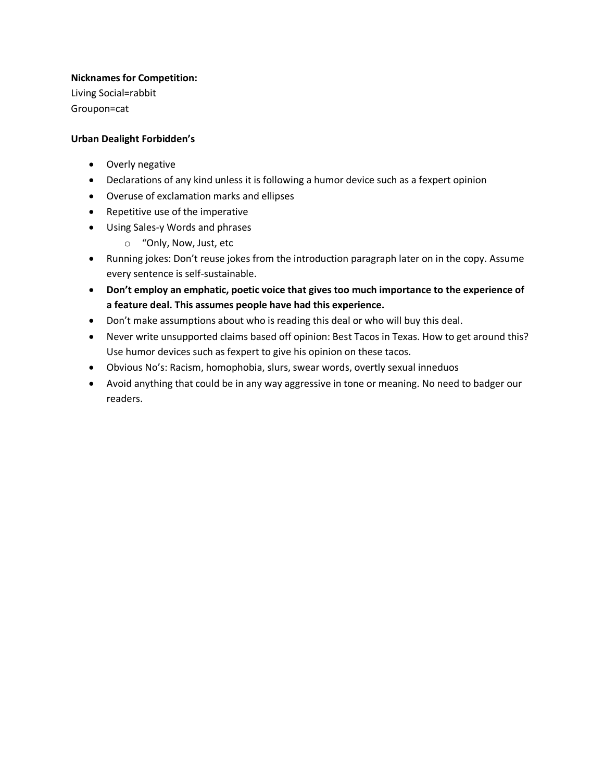# **Nicknames for Competition:**

Living Social=rabbit Groupon=cat

# **Urban Dealight Forbidden's**

- Overly negative
- Declarations of any kind unless it is following a humor device such as a fexpert opinion
- Overuse of exclamation marks and ellipses
- Repetitive use of the imperative
- Using Sales-y Words and phrases
	- o "Only, Now, Just, etc
- Running jokes: Don't reuse jokes from the introduction paragraph later on in the copy. Assume every sentence is self-sustainable.
- **Don't employ an emphatic, poetic voice that gives too much importance to the experience of a feature deal. This assumes people have had this experience.**
- Don't make assumptions about who is reading this deal or who will buy this deal.
- Never write unsupported claims based off opinion: Best Tacos in Texas. How to get around this? Use humor devices such as fexpert to give his opinion on these tacos.
- Obvious No's: Racism, homophobia, slurs, swear words, overtly sexual inneduos
- Avoid anything that could be in any way aggressive in tone or meaning. No need to badger our readers.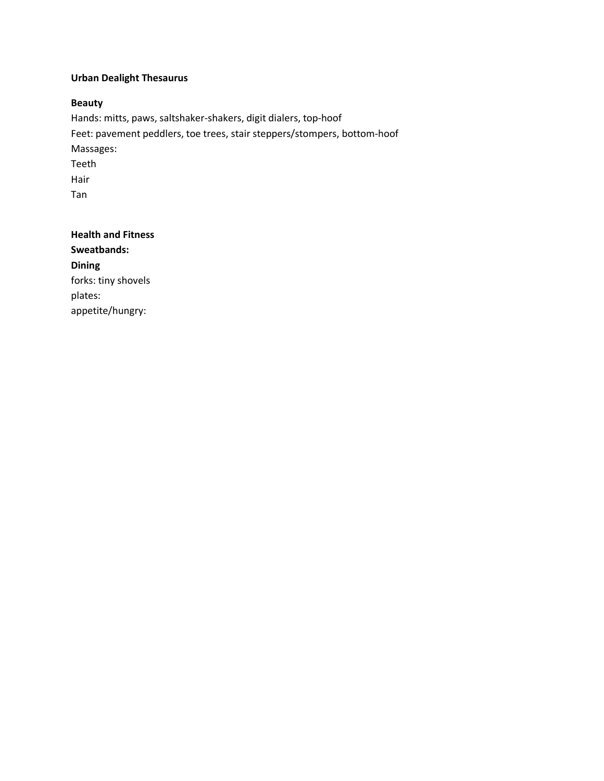# **Urban Dealight Thesaurus**

# **Beauty**

Hands: mitts, paws, saltshaker-shakers, digit dialers, top-hoof Feet: pavement peddlers, toe trees, stair steppers/stompers, bottom-hoof Massages: Teeth Hair Tan

**Health and Fitness Sweatbands: Dining** forks: tiny shovels plates: appetite/hungry: